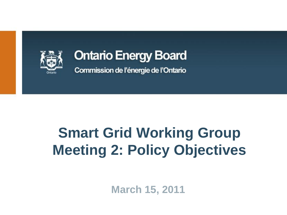

### **Ontario Energy Board**

Commission de l'énergie de l'Ontario

# **Smart Grid Working Group Meeting 2: Policy Objectives**

**March 15, 2011**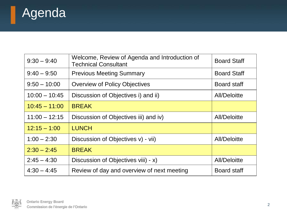

H

| $9:30 - 9:40$   | Welcome, Review of Agenda and Introduction of<br><b>Technical Consultant</b> | <b>Board Staff</b>  |
|-----------------|------------------------------------------------------------------------------|---------------------|
| $9:40 - 9:50$   | <b>Previous Meeting Summary</b>                                              | <b>Board Staff</b>  |
| $9:50 - 10:00$  | <b>Overview of Policy Objectives</b>                                         | <b>Board staff</b>  |
| $10:00 - 10:45$ | Discussion of Objectives i) and ii)                                          | <b>All/Deloitte</b> |
| $10:45 - 11:00$ | <b>BREAK</b>                                                                 |                     |
| $11:00 - 12:15$ | Discussion of Objectives iii) and iv)                                        | <b>All/Deloitte</b> |
| $12:15 - 1:00$  | <b>LUNCH</b>                                                                 |                     |
| $1:00 - 2:30$   | Discussion of Objectives v) - vii)                                           | <b>All/Deloitte</b> |
| $2:30 - 2:45$   | <b>BREAK</b>                                                                 |                     |
| $2:45 - 4:30$   | Discussion of Objectives viii) - x)                                          | <b>All/Deloitte</b> |
| $4:30 - 4:45$   | Review of day and overview of next meeting                                   | <b>Board staff</b>  |

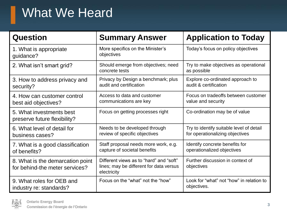### What We Heard

| <b>Question</b>                                                    | <b>Summary Answer</b>                                                                             | <b>Application to Today</b>                                                 |
|--------------------------------------------------------------------|---------------------------------------------------------------------------------------------------|-----------------------------------------------------------------------------|
| 1. What is appropriate<br>quidance?                                | More specifics on the Minister's<br>objectives                                                    | Today's focus on policy objectives                                          |
| 2. What isn't smart grid?                                          | Should emerge from objectives; need<br>concrete tests                                             | Try to make objectives as operational<br>as possible                        |
| 3. How to address privacy and<br>security?                         | Privacy by Design a benchmark; plus<br>audit and certification                                    | Explore co-ordinated approach to<br>audit & certification                   |
| 4. How can customer control<br>best aid objectives?                | Access to data and customer<br>communications are key                                             | Focus on tradeoffs between customer<br>value and security                   |
| 5. What investments best<br>preserve future flexibility?           | Focus on getting processes right                                                                  | Co-ordination may be of value                                               |
| 6. What level of detail for<br>business cases?                     | Needs to be developed through<br>review of specific objectives                                    | Try to identify suitable level of detail<br>for operationalizing objectives |
| 7. What is a good classification<br>of benefits?                   | Staff proposal needs more work, e.g.<br>capture of societal benefits                              | Identify concrete benefits for<br>operationalized objectives                |
| 8. What is the demarcation point<br>for behind-the meter services? | Different views as to "hard" and "soft"<br>lines; may be different for data versus<br>electricity | Further discussion in context of<br>objectives                              |
| 9. What roles for OEB and<br>industry re: standards?               | Focus on the "what" not the "how"                                                                 | Look for "what" not "how" in relation to<br>objectives.                     |

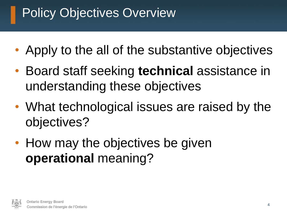### Policy Objectives Overview

- Apply to the all of the substantive objectives
- Board staff seeking **technical** assistance in understanding these objectives
- What technological issues are raised by the objectives?
- How may the objectives be given **operational** meaning?

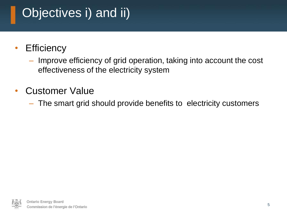## Objectives i) and ii)

- Efficiency
	- Improve efficiency of grid operation, taking into account the cost effectiveness of the electricity system
- Customer Value
	- The smart grid should provide benefits to electricity customers

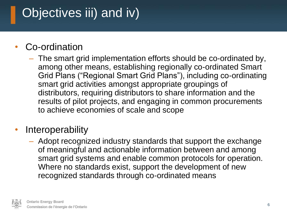## Objectives iii) and iv)

#### Co-ordination

- The smart grid implementation efforts should be co-ordinated by, among other means, establishing regionally co-ordinated Smart Grid Plans ("Regional Smart Grid Plans"), including co-ordinating smart grid activities amongst appropriate groupings of distributors, requiring distributors to share information and the results of pilot projects, and engaging in common procurements to achieve economies of scale and scope
- **Interoperability** 
	- Adopt recognized industry standards that support the exchange of meaningful and actionable information between and among smart grid systems and enable common protocols for operation. Where no standards exist, support the development of new recognized standards through co-ordinated means

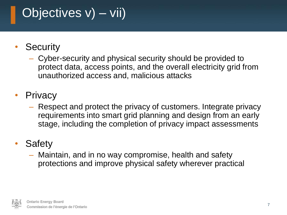### Objectives v) – vii)

- **Security** 
	- Cyber-security and physical security should be provided to protect data, access points, and the overall electricity grid from unauthorized access and, malicious attacks
- **Privacy** 
	- Respect and protect the privacy of customers. Integrate privacy requirements into smart grid planning and design from an early stage, including the completion of privacy impact assessments
- **Safety** 
	- Maintain, and in no way compromise, health and safety protections and improve physical safety wherever practical

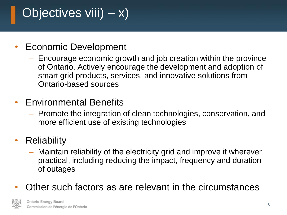# Objectives viii)  $- x$ )

#### • Economic Development

- Encourage economic growth and job creation within the province of Ontario. Actively encourage the development and adoption of smart grid products, services, and innovative solutions from Ontario-based sources
- Environmental Benefits
	- Promote the integration of clean technologies, conservation, and more efficient use of existing technologies
- **Reliability** 
	- Maintain reliability of the electricity grid and improve it wherever practical, including reducing the impact, frequency and duration of outages
- Other such factors as are relevant in the circumstances